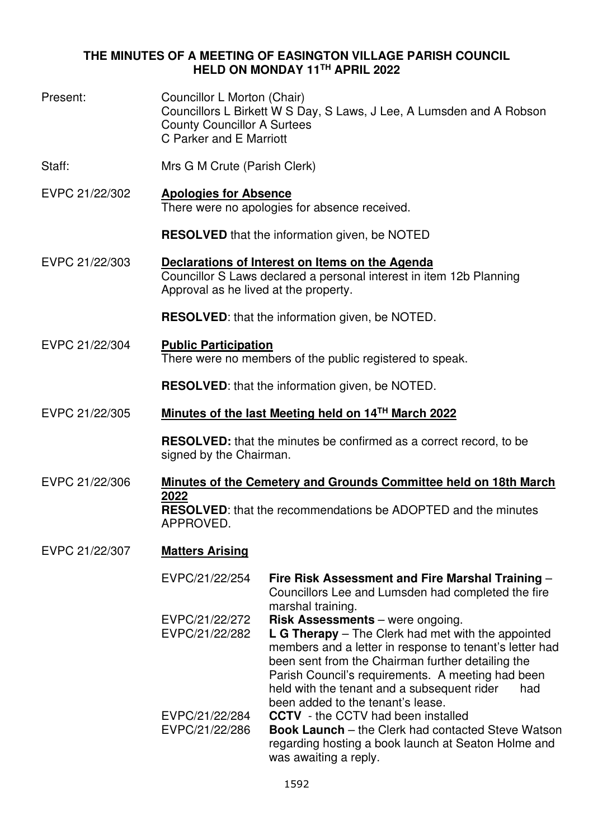# **THE MINUTES OF A MEETING OF EASINGTON VILLAGE PARISH COUNCIL HELD ON MONDAY 11TH APRIL 2022**

| Present:       | Councillor L Morton (Chair)<br>Councillors L Birkett W S Day, S Laws, J Lee, A Lumsden and A Robson<br><b>County Councillor A Surtees</b><br>C Parker and E Marriott |                                                                                                                                                                                                                                                                                                                                                                 |  |  |
|----------------|----------------------------------------------------------------------------------------------------------------------------------------------------------------------|-----------------------------------------------------------------------------------------------------------------------------------------------------------------------------------------------------------------------------------------------------------------------------------------------------------------------------------------------------------------|--|--|
| Staff:         | Mrs G M Crute (Parish Clerk)                                                                                                                                         |                                                                                                                                                                                                                                                                                                                                                                 |  |  |
| EVPC 21/22/302 | <b>Apologies for Absence</b><br>There were no apologies for absence received.                                                                                        |                                                                                                                                                                                                                                                                                                                                                                 |  |  |
|                | <b>RESOLVED</b> that the information given, be NOTED                                                                                                                 |                                                                                                                                                                                                                                                                                                                                                                 |  |  |
| EVPC 21/22/303 | Declarations of Interest on Items on the Agenda<br>Councillor S Laws declared a personal interest in item 12b Planning<br>Approval as he lived at the property.      |                                                                                                                                                                                                                                                                                                                                                                 |  |  |
|                |                                                                                                                                                                      | <b>RESOLVED:</b> that the information given, be NOTED.                                                                                                                                                                                                                                                                                                          |  |  |
| EVPC 21/22/304 | <b>Public Participation</b><br>There were no members of the public registered to speak.                                                                              |                                                                                                                                                                                                                                                                                                                                                                 |  |  |
|                | <b>RESOLVED:</b> that the information given, be NOTED.                                                                                                               |                                                                                                                                                                                                                                                                                                                                                                 |  |  |
| EVPC 21/22/305 | Minutes of the last Meeting held on 14 <sup>TH</sup> March 2022                                                                                                      |                                                                                                                                                                                                                                                                                                                                                                 |  |  |
|                | signed by the Chairman.                                                                                                                                              | <b>RESOLVED:</b> that the minutes be confirmed as a correct record, to be                                                                                                                                                                                                                                                                                       |  |  |
| EVPC 21/22/306 | Minutes of the Cemetery and Grounds Committee held on 18th March<br>2022<br><b>RESOLVED:</b> that the recommendations be ADOPTED and the minutes<br>APPROVED.        |                                                                                                                                                                                                                                                                                                                                                                 |  |  |
| EVPC 21/22/307 | <b>Matters Arising</b>                                                                                                                                               |                                                                                                                                                                                                                                                                                                                                                                 |  |  |
|                | EVPC/21/22/254                                                                                                                                                       | Fire Risk Assessment and Fire Marshal Training -<br>Councillors Lee and Lumsden had completed the fire<br>marshal training.                                                                                                                                                                                                                                     |  |  |
|                | EVPC/21/22/272<br>EVPC/21/22/282                                                                                                                                     | <b>Risk Assessments</b> – were ongoing.<br>$L$ G Therapy – The Clerk had met with the appointed<br>members and a letter in response to tenant's letter had<br>been sent from the Chairman further detailing the<br>Parish Council's requirements. A meeting had been<br>held with the tenant and a subsequent rider<br>had<br>been added to the tenant's lease. |  |  |
|                | EVPC/21/22/284<br>EVPC/21/22/286                                                                                                                                     | <b>CCTV</b> - the CCTV had been installed<br>Book Launch - the Clerk had contacted Steve Watson<br>regarding hosting a book launch at Seaton Holme and<br>was awaiting a reply.                                                                                                                                                                                 |  |  |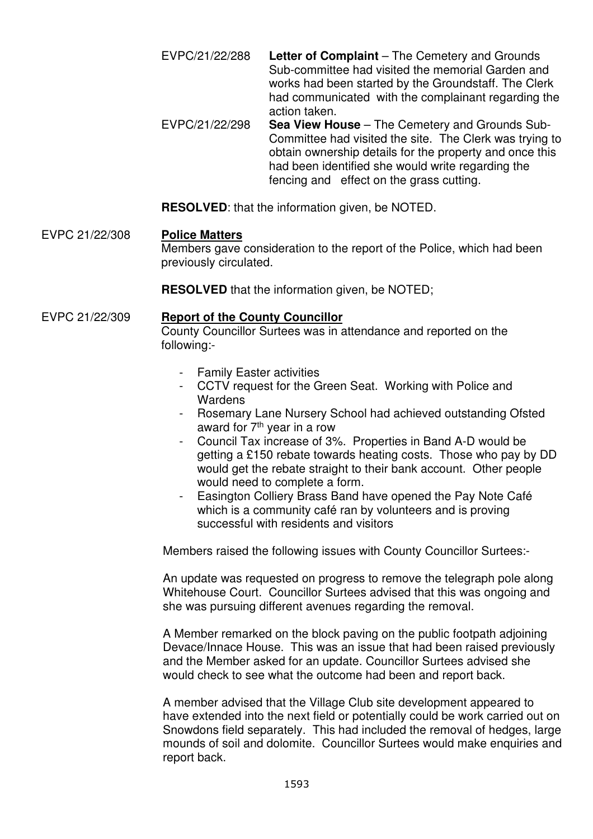- EVPC/21/22/288 **Letter of Complaint** The Cemetery and Grounds Sub-committee had visited the memorial Garden and works had been started by the Groundstaff. The Clerk had communicated with the complainant regarding the action taken.
- EVPC/21/22/298 **Sea View House** The Cemetery and Grounds Sub- Committee had visited the site. The Clerk was trying to obtain ownership details for the property and once this had been identified she would write regarding the fencing and effect on the grass cutting.

**RESOLVED**: that the information given, be NOTED.

#### EVPC 21/22/308 **Police Matters**  Members gave consideration to the report of the Police, which had been previously circulated.

**RESOLVED** that the information given, be NOTED;

# EVPC 21/22/309 **Report of the County Councillor**

County Councillor Surtees was in attendance and reported on the following:-

- Family Easter activities
- CCTV request for the Green Seat. Working with Police and Wardens
- Rosemary Lane Nursery School had achieved outstanding Ofsted award for 7<sup>th</sup> year in a row
- Council Tax increase of 3%. Properties in Band A-D would be getting a £150 rebate towards heating costs. Those who pay by DD would get the rebate straight to their bank account. Other people would need to complete a form.
- Easington Colliery Brass Band have opened the Pay Note Café which is a community café ran by volunteers and is proving successful with residents and visitors

Members raised the following issues with County Councillor Surtees:-

An update was requested on progress to remove the telegraph pole along Whitehouse Court. Councillor Surtees advised that this was ongoing and she was pursuing different avenues regarding the removal.

A Member remarked on the block paving on the public footpath adjoining Devace/Innace House. This was an issue that had been raised previously and the Member asked for an update. Councillor Surtees advised she would check to see what the outcome had been and report back.

A member advised that the Village Club site development appeared to have extended into the next field or potentially could be work carried out on Snowdons field separately. This had included the removal of hedges, large mounds of soil and dolomite. Councillor Surtees would make enquiries and report back.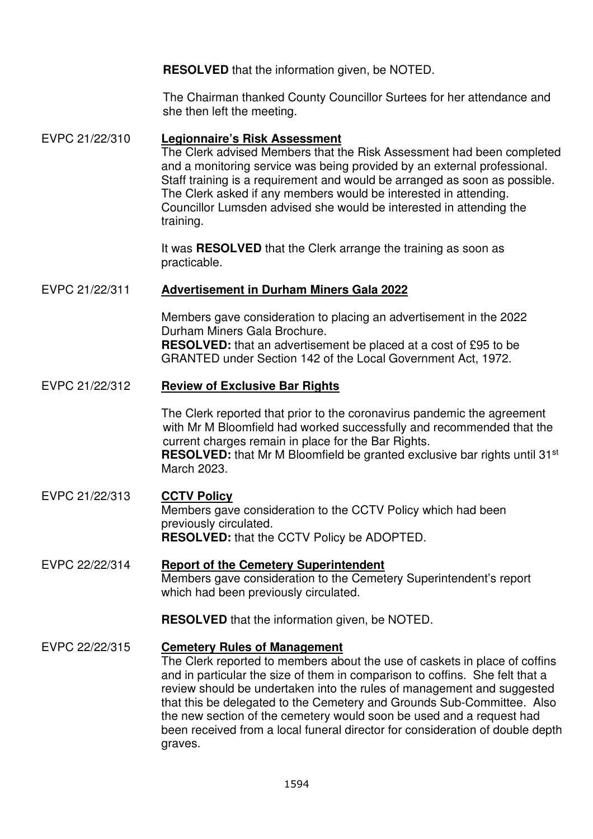**RESOLVED** that the information given, be NOTED.

The Chairman thanked County Councillor Surtees for her attendance and she then left the meeting.

#### EVPC 21/22/310 **Legionnaire's Risk Assessment** The Clerk advised Members that the Risk Assessment had been completed and a monitoring service was being provided by an external professional. Staff training is a requirement and would be arranged as soon as possible. The Clerk asked if any members would be interested in attending. Councillor Lumsden advised she would be interested in attending the training.

It was **RESOLVED** that the Clerk arrange the training as soon as practicable.

# EVPC 21/22/311 **Advertisement in Durham Miners Gala 2022**

Members gave consideration to placing an advertisement in the 2022 Durham Miners Gala Brochure. **RESOLVED:** that an advertisement be placed at a cost of £95 to be

GRANTED under Section 142 of the Local Government Act, 1972.

# EVPC 21/22/312 **Review of Exclusive Bar Rights**

The Clerk reported that prior to the coronavirus pandemic the agreement with Mr M Bloomfield had worked successfully and recommended that the current charges remain in place for the Bar Rights. **RESOLVED:** that Mr M Bloomfield be granted exclusive bar rights until 31<sup>st</sup> March 2023.

- EVPC 21/22/313 **CCTV Policy** Members gave consideration to the CCTV Policy which had been previously circulated. **RESOLVED:** that the CCTV Policy be ADOPTED.
- EVPC 22/22/314 **Report of the Cemetery Superintendent** Members gave consideration to the Cemetery Superintendent's report which had been previously circulated.

**RESOLVED** that the information given, be NOTED.

# EVPC 22/22/315 **Cemetery Rules of Management** The Clerk reported to members about the use of caskets in place of coffins and in particular the size of them in comparison to coffins. She felt that a review should be undertaken into the rules of management and suggested that this be delegated to the Cemetery and Grounds Sub-Committee. Also the new section of the cemetery would soon be used and a request had been received from a local funeral director for consideration of double depth graves.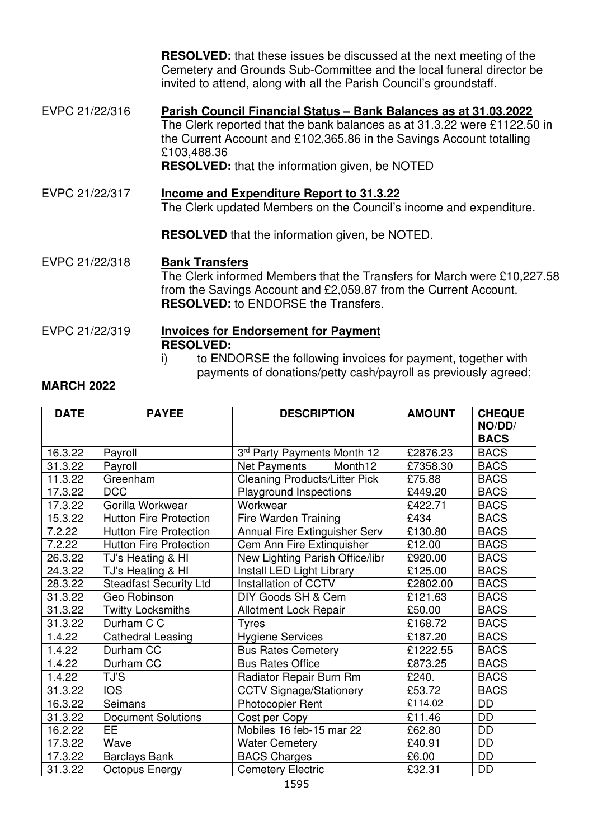**RESOLVED:** that these issues be discussed at the next meeting of the Cemetery and Grounds Sub-Committee and the local funeral director be invited to attend, along with all the Parish Council's groundstaff.

- EVPC 21/22/316 **Parish Council Financial Status Bank Balances as at 31.03.2022** The Clerk reported that the bank balances as at 31.3.22 were £1122.50 in the Current Account and £102,365.86 in the Savings Account totalling £103,488.36 **RESOLVED:** that the information given, be NOTED
- EVPC 21/22/317 **Income and Expenditure Report to 31.3.22**  The Clerk updated Members on the Council's income and expenditure.

**RESOLVED** that the information given, be NOTED.

# EVPC 21/22/318 **Bank Transfers**

The Clerk informed Members that the Transfers for March were £10,227.58 from the Savings Account and £2,059.87 from the Current Account. **RESOLVED:** to ENDORSE the Transfers.

# EVPC 21/22/319 **Invoices for Endorsement for Payment RESOLVED:**

i) to ENDORSE the following invoices for payment, together with payments of donations/petty cash/payroll as previously agreed;

# **MARCH 2022**

| <b>DATE</b> | <b>PAYEE</b>                  | <b>DESCRIPTION</b>                   | <b>AMOUNT</b> | <b>CHEQUE</b> |
|-------------|-------------------------------|--------------------------------------|---------------|---------------|
|             |                               |                                      |               | NO/DD/        |
|             |                               |                                      |               | <b>BACS</b>   |
| 16.3.22     | Payroll                       | 3rd Party Payments Month 12          | £2876.23      | <b>BACS</b>   |
| 31.3.22     | Payroll                       | Month <sub>12</sub><br>Net Payments  | £7358.30      | <b>BACS</b>   |
| 11.3.22     | Greenham                      | <b>Cleaning Products/Litter Pick</b> | £75.88        | <b>BACS</b>   |
| 17.3.22     | <b>DCC</b>                    | Playground Inspections               | £449.20       | <b>BACS</b>   |
| 17.3.22     | Gorilla Workwear              | Workwear                             | £422.71       | <b>BACS</b>   |
| 15.3.22     | <b>Hutton Fire Protection</b> | Fire Warden Training                 | £434          | <b>BACS</b>   |
| 7.2.22      | <b>Hutton Fire Protection</b> | Annual Fire Extinguisher Serv        | £130.80       | <b>BACS</b>   |
| 7.2.22      | <b>Hutton Fire Protection</b> | Cem Ann Fire Extinquisher            | £12.00        | <b>BACS</b>   |
| 26.3.22     | TJ's Heating & HI             | New Lighting Parish Office/libr      | £920.00       | <b>BACS</b>   |
| 24.3.22     | TJ's Heating & HI             | Install LED Light Library            | £125.00       | <b>BACS</b>   |
| 28.3.22     | <b>Steadfast Security Ltd</b> | Installation of CCTV                 | £2802.00      | <b>BACS</b>   |
| 31.3.22     | Geo Robinson                  | DIY Goods SH & Cem                   | £121.63       | <b>BACS</b>   |
| 31.3.22     | <b>Twitty Locksmiths</b>      | Allotment Lock Repair                | £50.00        | <b>BACS</b>   |
| 31.3.22     | Durham C C                    | <b>Tyres</b>                         | £168.72       | <b>BACS</b>   |
| 1.4.22      | Cathedral Leasing             | <b>Hygiene Services</b>              | £187.20       | <b>BACS</b>   |
| 1.4.22      | Durham CC                     | <b>Bus Rates Cemetery</b>            | £1222.55      | <b>BACS</b>   |
| 1.4.22      | Durham CC                     | <b>Bus Rates Office</b>              | £873.25       | <b>BACS</b>   |
| 1.4.22      | TJ'S                          | Radiator Repair Burn Rm              | £240.         | <b>BACS</b>   |
| 31.3.22     | <b>IOS</b>                    | <b>CCTV Signage/Stationery</b>       | £53.72        | <b>BACS</b>   |
| 16.3.22     | Seimans                       | Photocopier Rent                     | £114.02       | DD            |
| 31.3.22     | <b>Document Solutions</b>     | Cost per Copy                        | £11.46        | DD            |
| 16.2.22     | EE                            | Mobiles 16 feb-15 mar 22             | £62.80        | <b>DD</b>     |
| 17.3.22     | Wave                          | <b>Water Cemetery</b>                | £40.91        | <b>DD</b>     |
| 17.3.22     | <b>Barclays Bank</b>          | <b>BACS Charges</b>                  | £6.00         | <b>DD</b>     |
| 31.3.22     | <b>Octopus Energy</b>         | <b>Cemetery Electric</b>             | £32.31        | DD            |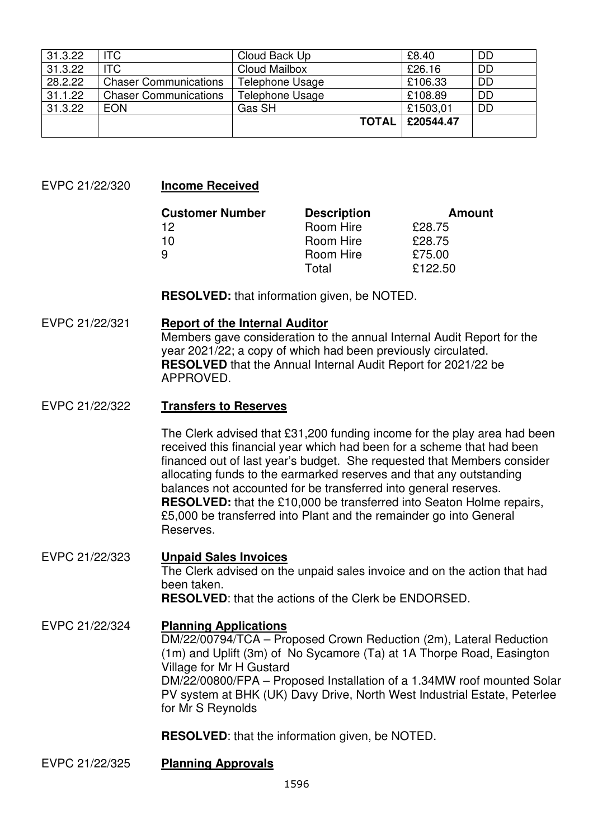| 31.3.22 | <b>ITC</b>                   | Cloud Back Up          | £8.40     | <b>DD</b> |
|---------|------------------------------|------------------------|-----------|-----------|
| 31.3.22 | <b>ITC</b>                   | <b>Cloud Mailbox</b>   | £26.16    | <b>DD</b> |
| 28.2.22 | <b>Chaser Communications</b> | <b>Telephone Usage</b> | £106.33   | <b>DD</b> |
| 31.1.22 | <b>Chaser Communications</b> | Telephone Usage        | £108.89   | <b>DD</b> |
| 31.3.22 | <b>EON</b>                   | Gas SH                 | £1503,01  | <b>DD</b> |
|         |                              | <b>TOTAL</b>           | £20544.47 |           |
|         |                              |                        |           |           |

EVPC 21/22/320 **Income Received** 

| <b>Customer Number</b> | <b>Description</b> | <b>Amount</b> |
|------------------------|--------------------|---------------|
| 12                     | Room Hire          | £28.75        |
| 10                     | Room Hire          | £28.75        |
| 9                      | Room Hire          | £75.00        |
|                        | Total              | £122.50       |

**RESOLVED:** that information given, be NOTED.

EVPC 21/22/321 **Report of the Internal Auditor**

Members gave consideration to the annual Internal Audit Report for the year 2021/22; a copy of which had been previously circulated. **RESOLVED** that the Annual Internal Audit Report for 2021/22 be APPROVED.

#### EVPC 21/22/322 **Transfers to Reserves**

The Clerk advised that £31,200 funding income for the play area had been received this financial year which had been for a scheme that had been financed out of last year's budget. She requested that Members consider allocating funds to the earmarked reserves and that any outstanding balances not accounted for be transferred into general reserves. **RESOLVED:** that the £10,000 be transferred into Seaton Holme repairs, £5,000 be transferred into Plant and the remainder go into General Reserves.

EVPC 21/22/323 **Unpaid Sales Invoices** The Clerk advised on the unpaid sales invoice and on the action that had been taken. **RESOLVED**: that the actions of the Clerk be ENDORSED.

EVPC 21/22/324 **Planning Applications**  DM/22/00794/TCA – Proposed Crown Reduction (2m), Lateral Reduction (1m) and Uplift (3m) of No Sycamore (Ta) at 1A Thorpe Road, Easington Village for Mr H Gustard DM/22/00800/FPA – Proposed Installation of a 1.34MW roof mounted Solar PV system at BHK (UK) Davy Drive, North West Industrial Estate, Peterlee for Mr S Reynolds

**RESOLVED**: that the information given, be NOTED.

EVPC 21/22/325 **Planning Approvals**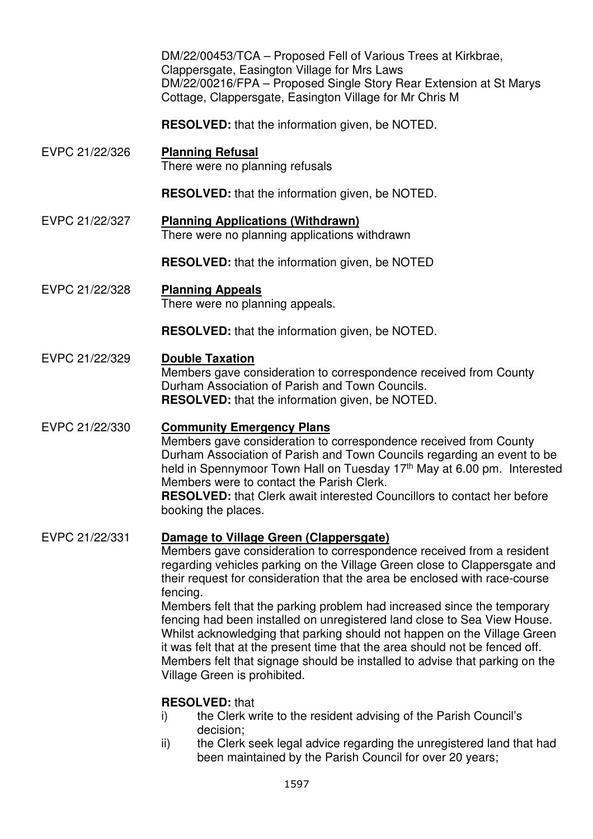DM/22/00453/TCA – Proposed Fell of Various Trees at Kirkbrae, Clappersgate, Easington Village for Mrs Laws DM/22/00216/FPA – Proposed Single Story Rear Extension at St Marys Cottage, Clappersgate, Easington Village for Mr Chris M

**RESOLVED:** that the information given, be NOTED.

EVPC 21/22/326 **Planning Refusal**  There were no planning refusals

**RESOLVED:** that the information given, be NOTED.

EVPC 21/22/327 **Planning Applications (Withdrawn)**  There were no planning applications withdrawn

**RESOLVED:** that the information given, be NOTED

- EVPC 21/22/328 **Planning Appeals**  There were no planning appeals.
	- **RESOLVED:** that the information given, be NOTED.
- EVPC 21/22/329 **Double Taxation**  Members gave consideration to correspondence received from County Durham Association of Parish and Town Councils. **RESOLVED:** that the information given, be NOTED.

# EVPC 21/22/330 **Community Emergency Plans**

Members gave consideration to correspondence received from County Durham Association of Parish and Town Councils regarding an event to be held in Spennymoor Town Hall on Tuesday  $17<sup>th</sup>$  May at 6.00 pm. Interested Members were to contact the Parish Clerk.

**RESOLVED:** that Clerk await interested Councillors to contact her before booking the places.

# EVPC 21/22/331 **Damage to Village Green (Clappersgate)**

Members gave consideration to correspondence received from a resident regarding vehicles parking on the Village Green close to Clappersgate and their request for consideration that the area be enclosed with race-course fencing.

Members felt that the parking problem had increased since the temporary fencing had been installed on unregistered land close to Sea View House. Whilst acknowledging that parking should not happen on the Village Green it was felt that at the present time that the area should not be fenced off. Members felt that signage should be installed to advise that parking on the Village Green is prohibited.

# **RESOLVED:** that

- i) the Clerk write to the resident advising of the Parish Council's decision;
- ii) the Clerk seek legal advice regarding the unregistered land that had been maintained by the Parish Council for over 20 years;